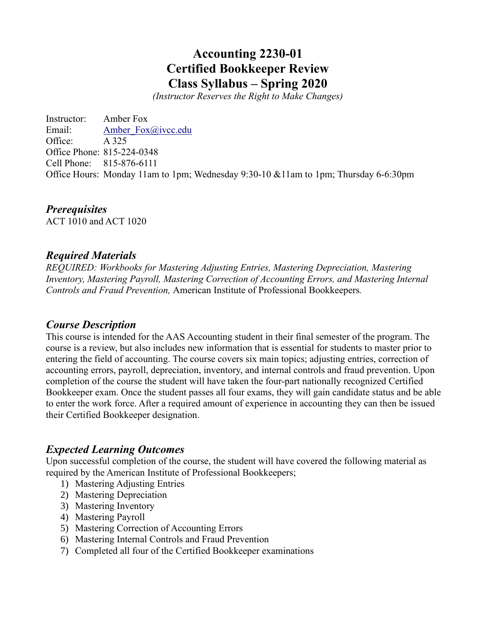# **Accounting 2230-01 Certified Bookkeeper Review Class Syllabus – Spring 2020**

*(Instructor Reserves the Right to Make Changes)*

Instructor: Amber Fox Email: Amber Fox@ivcc.edu Office: A 325 Office Phone: 815-224-0348 Cell Phone: 815-876-6111 Office Hours: Monday 11am to 1pm; Wednesday 9:30-10 &11am to 1pm; Thursday 6-6:30pm

*Prerequisites* ACT 1010 and ACT 1020

### *Required Materials*

*REQUIRED: Workbooks for Mastering Adjusting Entries, Mastering Depreciation, Mastering Inventory, Mastering Payroll, Mastering Correction of Accounting Errors, and Mastering Internal Controls and Fraud Prevention,* American Institute of Professional Bookkeepers*.*

### *Course Description*

This course is intended for the AAS Accounting student in their final semester of the program. The course is a review, but also includes new information that is essential for students to master prior to entering the field of accounting. The course covers six main topics; adjusting entries, correction of accounting errors, payroll, depreciation, inventory, and internal controls and fraud prevention. Upon completion of the course the student will have taken the four-part nationally recognized Certified Bookkeeper exam. Once the student passes all four exams, they will gain candidate status and be able to enter the work force. After a required amount of experience in accounting they can then be issued their Certified Bookkeeper designation.

### *Expected Learning Outcomes*

Upon successful completion of the course, the student will have covered the following material as required by the American Institute of Professional Bookkeepers;

- 1) Mastering Adjusting Entries
- 2) Mastering Depreciation
- 3) Mastering Inventory
- 4) Mastering Payroll
- 5) Mastering Correction of Accounting Errors
- 6) Mastering Internal Controls and Fraud Prevention
- 7) Completed all four of the Certified Bookkeeper examinations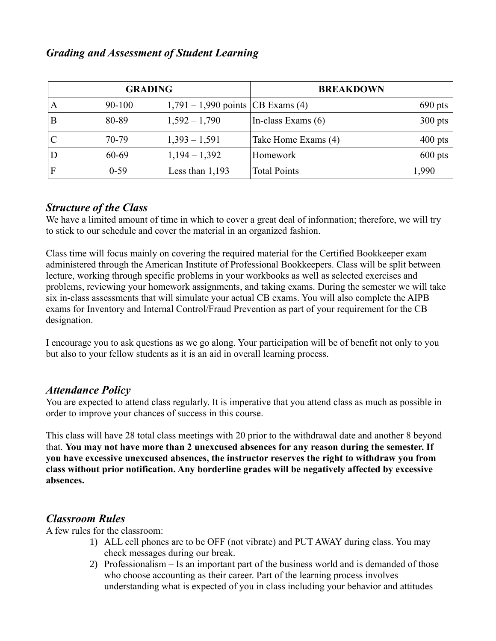## *Grading and Assessment of Student Learning*

|   | <b>GRADING</b> |                                     | <b>BREAKDOWN</b>     |           |
|---|----------------|-------------------------------------|----------------------|-----------|
| A | 90-100         | $1,791 - 1,990$ points CB Exams (4) |                      | $690$ pts |
| B | 80-89          | $1,592 - 1,790$                     | In-class Exams $(6)$ | $300$ pts |
|   | 70-79          | $1,393 - 1,591$                     | Take Home Exams (4)  | $400$ pts |
|   | 60-69          | $1,194 - 1,392$                     | Homework             | $600$ pts |
|   | $0 - 59$       | Less than $1,193$                   | <b>Total Points</b>  | 1,990     |

### *Structure of the Class*

We have a limited amount of time in which to cover a great deal of information; therefore, we will try to stick to our schedule and cover the material in an organized fashion.

Class time will focus mainly on covering the required material for the Certified Bookkeeper exam administered through the American Institute of Professional Bookkeepers. Class will be split between lecture, working through specific problems in your workbooks as well as selected exercises and problems, reviewing your homework assignments, and taking exams. During the semester we will take six in-class assessments that will simulate your actual CB exams. You will also complete the AIPB exams for Inventory and Internal Control/Fraud Prevention as part of your requirement for the CB designation.

I encourage you to ask questions as we go along. Your participation will be of benefit not only to you but also to your fellow students as it is an aid in overall learning process.

### *Attendance Policy*

You are expected to attend class regularly. It is imperative that you attend class as much as possible in order to improve your chances of success in this course.

This class will have 28 total class meetings with 20 prior to the withdrawal date and another 8 beyond that. **You may not have more than 2 unexcused absences for any reason during the semester. If you have excessive unexcused absences, the instructor reserves the right to withdraw you from class without prior notification. Any borderline grades will be negatively affected by excessive absences.**

## *Classroom Rules*

A few rules for the classroom:

- 1) ALL cell phones are to be OFF (not vibrate) and PUT AWAY during class. You may check messages during our break.
- 2) Professionalism Is an important part of the business world and is demanded of those who choose accounting as their career. Part of the learning process involves understanding what is expected of you in class including your behavior and attitudes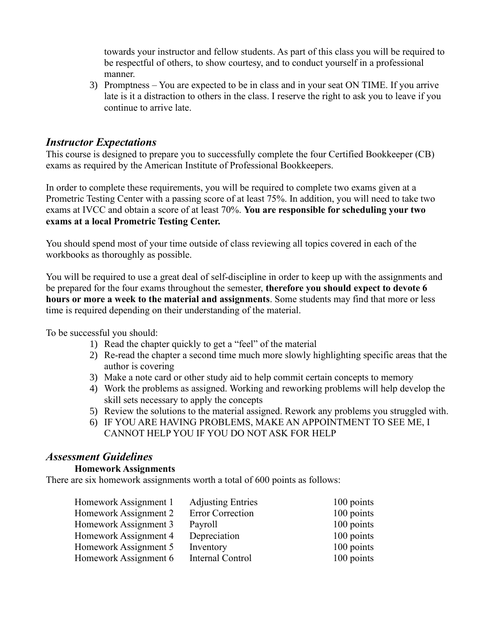towards your instructor and fellow students. As part of this class you will be required to be respectful of others, to show courtesy, and to conduct yourself in a professional manner.

3) Promptness – You are expected to be in class and in your seat ON TIME. If you arrive late is it a distraction to others in the class. I reserve the right to ask you to leave if you continue to arrive late.

## *Instructor Expectations*

This course is designed to prepare you to successfully complete the four Certified Bookkeeper (CB) exams as required by the American Institute of Professional Bookkeepers.

In order to complete these requirements, you will be required to complete two exams given at a Prometric Testing Center with a passing score of at least 75%. In addition, you will need to take two exams at IVCC and obtain a score of at least 70%. **You are responsible for scheduling your two exams at a local Prometric Testing Center.**

You should spend most of your time outside of class reviewing all topics covered in each of the workbooks as thoroughly as possible.

You will be required to use a great deal of self-discipline in order to keep up with the assignments and be prepared for the four exams throughout the semester, **therefore you should expect to devote 6 hours or more a week to the material and assignments**. Some students may find that more or less time is required depending on their understanding of the material.

To be successful you should:

- 1) Read the chapter quickly to get a "feel" of the material
- 2) Re-read the chapter a second time much more slowly highlighting specific areas that the author is covering
- 3) Make a note card or other study aid to help commit certain concepts to memory
- 4) Work the problems as assigned. Working and reworking problems will help develop the skill sets necessary to apply the concepts
- 5) Review the solutions to the material assigned. Rework any problems you struggled with.
- 6) IF YOU ARE HAVING PROBLEMS, MAKE AN APPOINTMENT TO SEE ME, I CANNOT HELP YOU IF YOU DO NOT ASK FOR HELP

### *Assessment Guidelines*

#### **Homework Assignments**

There are six homework assignments worth a total of 600 points as follows:

| Homework Assignment 1 | <b>Adjusting Entries</b> | 100 points |
|-----------------------|--------------------------|------------|
| Homework Assignment 2 | <b>Error Correction</b>  | 100 points |
| Homework Assignment 3 | Payroll                  | 100 points |
| Homework Assignment 4 | Depreciation             | 100 points |
| Homework Assignment 5 | Inventory                | 100 points |
| Homework Assignment 6 | Internal Control         | 100 points |
|                       |                          |            |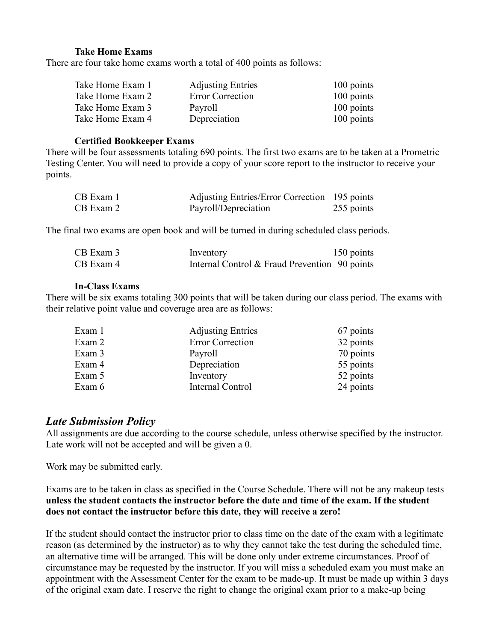#### **Take Home Exams**

There are four take home exams worth a total of 400 points as follows:

| Take Home Exam 1 | <b>Adjusting Entries</b> | $100$ points |
|------------------|--------------------------|--------------|
| Take Home Exam 2 | <b>Error Correction</b>  | 100 points   |
| Take Home Exam 3 | Payroll                  | 100 points   |
| Take Home Exam 4 | Depreciation             | 100 points   |

#### **Certified Bookkeeper Exams**

There will be four assessments totaling 690 points. The first two exams are to be taken at a Prometric Testing Center. You will need to provide a copy of your score report to the instructor to receive your points.

| CB Exam 1 | Adjusting Entries/Error Correction 195 points |            |
|-----------|-----------------------------------------------|------------|
| CB Exam 2 | Payroll/Depreciation                          | 255 points |

The final two exams are open book and will be turned in during scheduled class periods.

| CB Exam 3 | Inventory                                     | 150 points |
|-----------|-----------------------------------------------|------------|
| CB Exam 4 | Internal Control & Fraud Prevention 90 points |            |

#### **In-Class Exams**

There will be six exams totaling 300 points that will be taken during our class period. The exams with their relative point value and coverage area are as follows:

| Exam 1 | <b>Adjusting Entries</b> | 67 points |
|--------|--------------------------|-----------|
| Exam 2 | <b>Error Correction</b>  | 32 points |
| Exam 3 | Payroll                  | 70 points |
| Exam 4 | Depreciation             | 55 points |
| Exam 5 | Inventory                | 52 points |
| Exam 6 | <b>Internal Control</b>  | 24 points |

#### *Late Submission Policy*

All assignments are due according to the course schedule, unless otherwise specified by the instructor. Late work will not be accepted and will be given a 0.

Work may be submitted early.

Exams are to be taken in class as specified in the Course Schedule. There will not be any makeup tests **unless the student contacts the instructor before the date and time of the exam. If the student does not contact the instructor before this date, they will receive a zero!** 

If the student should contact the instructor prior to class time on the date of the exam with a legitimate reason (as determined by the instructor) as to why they cannot take the test during the scheduled time, an alternative time will be arranged. This will be done only under extreme circumstances. Proof of circumstance may be requested by the instructor. If you will miss a scheduled exam you must make an appointment with the Assessment Center for the exam to be made-up. It must be made up within 3 days of the original exam date. I reserve the right to change the original exam prior to a make-up being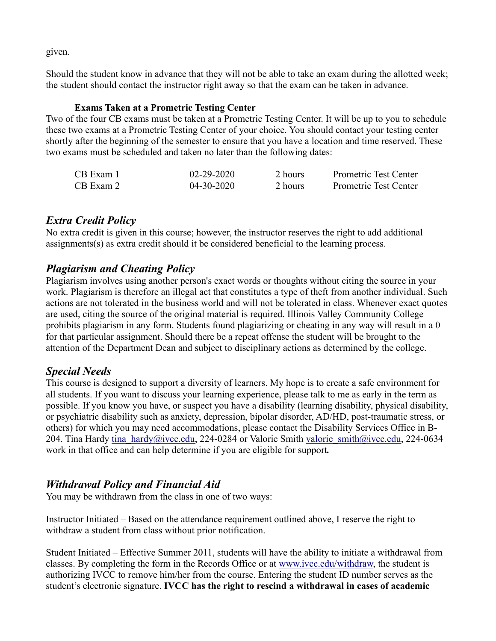given.

Should the student know in advance that they will not be able to take an exam during the allotted week; the student should contact the instructor right away so that the exam can be taken in advance.

#### **Exams Taken at a Prometric Testing Center**

Two of the four CB exams must be taken at a Prometric Testing Center. It will be up to you to schedule these two exams at a Prometric Testing Center of your choice. You should contact your testing center shortly after the beginning of the semester to ensure that you have a location and time reserved. These two exams must be scheduled and taken no later than the following dates:

| CB Exam 1 | $02 - 29 - 2020$ | 2 hours | Prometric Test Center |
|-----------|------------------|---------|-----------------------|
| CB Exam 2 | $04 - 30 - 2020$ | 2 hours | Prometric Test Center |

## *Extra Credit Policy*

No extra credit is given in this course; however, the instructor reserves the right to add additional assignments(s) as extra credit should it be considered beneficial to the learning process.

## *Plagiarism and Cheating Policy*

Plagiarism involves using another person's exact words or thoughts without citing the source in your work. Plagiarism is therefore an illegal act that constitutes a type of theft from another individual. Such actions are not tolerated in the business world and will not be tolerated in class. Whenever exact quotes are used, citing the source of the original material is required. Illinois Valley Community College prohibits plagiarism in any form. Students found plagiarizing or cheating in any way will result in a 0 for that particular assignment. Should there be a repeat offense the student will be brought to the attention of the Department Dean and subject to disciplinary actions as determined by the college.

## *Special Needs*

This course is designed to support a diversity of learners. My hope is to create a safe environment for all students. If you want to discuss your learning experience, please talk to me as early in the term as possible. If you know you have, or suspect you have a disability (learning disability, physical disability, or psychiatric disability such as anxiety, depression, bipolar disorder, AD/HD, post-traumatic stress, or others) for which you may need accommodations, please contact the Disability Services Office in B204. Tina Hardy [tina\\_hardy@ivcc.edu,](mailto:tina_hardy@ivcc.edu) 224-0284 or Valorie Smith valorie smith@ivcc.edu, 224-0634 work in that office and can help determine if you are eligible for support*.*

## *Withdrawal Policy and Financial Aid*

You may be withdrawn from the class in one of two ways:

Instructor Initiated – Based on the attendance requirement outlined above, I reserve the right to withdraw a student from class without prior notification.

Student Initiated – Effective Summer 2011, students will have the ability to initiate a withdrawal from classes. By completing the form in the Records Office or at [www.ivcc.edu/withdraw,](http://www.ivcc.edu/withdraw) the student is authorizing IVCC to remove him/her from the course. Entering the student ID number serves as the student's electronic signature. **IVCC has the right to rescind a withdrawal in cases of academic**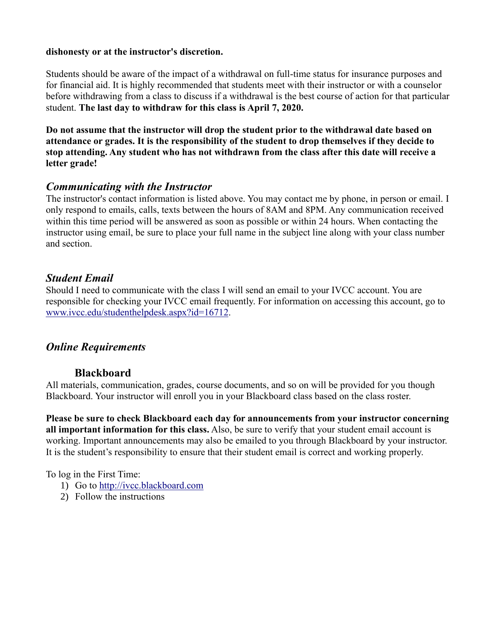#### **dishonesty or at the instructor's discretion.**

Students should be aware of the impact of a withdrawal on full-time status for insurance purposes and for financial aid. It is highly recommended that students meet with their instructor or with a counselor before withdrawing from a class to discuss if a withdrawal is the best course of action for that particular student. **The last day to withdraw for this class is April 7, 2020.** 

**Do not assume that the instructor will drop the student prior to the withdrawal date based on attendance or grades. It is the responsibility of the student to drop themselves if they decide to stop attending. Any student who has not withdrawn from the class after this date will receive a letter grade!**

#### *Communicating with the Instructor*

The instructor's contact information is listed above. You may contact me by phone, in person or email. I only respond to emails, calls, texts between the hours of 8AM and 8PM. Any communication received within this time period will be answered as soon as possible or within 24 hours. When contacting the instructor using email, be sure to place your full name in the subject line along with your class number and section.

#### *Student Email*

Should I need to communicate with the class I will send an email to your IVCC account. You are responsible for checking your IVCC email frequently. For information on accessing this account, go to [www.ivcc.edu/studenthelpdesk.aspx?id=16712.](http://www.ivcc.edu/studenthelpdesk.aspx?id=16712)

#### *Online Requirements*

#### **Blackboard**

All materials, communication, grades, course documents, and so on will be provided for you though Blackboard. Your instructor will enroll you in your Blackboard class based on the class roster.

**Please be sure to check Blackboard each day for announcements from your instructor concerning all important information for this class.** Also, be sure to verify that your student email account is working. Important announcements may also be emailed to you through Blackboard by your instructor. It is the student's responsibility to ensure that their student email is correct and working properly.

To log in the First Time:

- 1) Go to [http://ivcc.blackboard.com](http://ivcc.blackboard.com/)
- 2) Follow the instructions